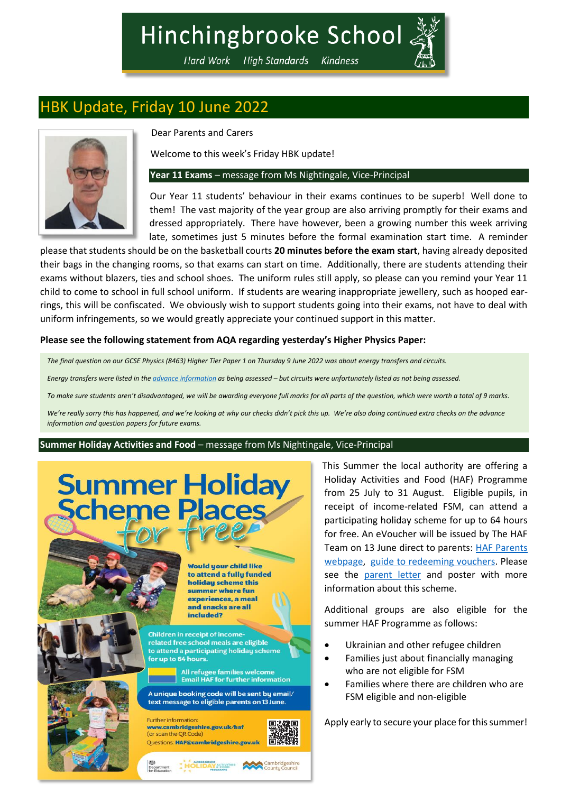## Hinchingbrooke School

Hard Work High Standards Kindness

### HBK Update, Friday 10 June 2022



Dear Parents and Carers

Welcome to this week's Friday HBK update!

### **Year 11 Exams** – message from Ms Nightingale, Vice-Principal

Our Year 11 students' behaviour in their exams continues to be superb! Well done to them! The vast majority of the year group are also arriving promptly for their exams and dressed appropriately. There have however, been a growing number this week arriving late, sometimes just 5 minutes before the formal examination start time. A reminder

please that students should be on the basketball courts **20 minutes before the exam start**, having already deposited their bags in the changing rooms, so that exams can start on time. Additionally, there are students attending their exams without blazers, ties and school shoes. The uniform rules still apply, so please can you remind your Year 11 child to come to school in full school uniform. If students are wearing inappropriate jewellery, such as hooped earrings, this will be confiscated. We obviously wish to support students going into their exams, not have to deal with uniform infringements, so we would greatly appreciate your continued support in this matter.

### **Please see the following statement from AQA regarding yesterday's Higher Physics Paper:**

*The final question on our GCSE Physics (8463) Higher Tier Paper 1 on Thursday 9 June 2022 was about energy transfers and circuits.*

*Energy transfers were listed in the [advance information](https://filestore.aqa.org.uk/content/summer-2022/AQA-8463-AI-22.PDF) as being assessed – but circuits were unfortunately listed as not being assessed.*

*To make sure students aren't disadvantaged, we will be awarding everyone full marks for all parts of the question, which were worth a total of 9 marks.*

*We're really sorry this has happened, and we're looking at why our checks didn't pick this up. We're also doing continued extra checks on the advance information and question papers for future exams.*

**Summer Holiday Activities and Food** – message from Ms Nightingale, Vice-Principal

# **Summer Holiday<br>Scheme Places**

Would your child like to attend a fully funded holidau scheme this summer where fun experiences, a meal and snacks are all included?

Children in receipt of incomerelated free school meals are eligible to attend a participating holiday scheme for up to 64 hours.

All refugee families welcome<br>Email HAF for further information



A unique booking code will be sent by email/ text message to eligible parents on 13 June.

Department HOLIDAY & FOOD ES County Council

**Further information** www.cambridgeshire.gov.uk/hat (or scan the OR Questions: HAF@cambridgeshire.gov.uk



This Summer the local authority are offering a Holiday Activities and Food (HAF) Programme from 25 July to 31 August. Eligible pupils, in receipt of income-related FSM, can attend a participating holiday scheme for up to 64 hours for free. An eVoucher will be issued by The HAF Team on 13 June direct to parents: [HAF Parents](https://www.cambridgeshire.gov.uk/news/holiday-activities-and-food-programme)  [webpage,](https://www.cambridgeshire.gov.uk/news/holiday-activities-and-food-programme) [guide to redeeming vouchers.](https://help.evouchers.com/hc/en-gb/articles/4529534704529-How-to-claim-your-HAF-voucher) Please see the [parent letter](https://www.hinchingbrookeschool.net/_site/data/files/debbie%20warner/parentmail/210F3A4B0CA826EF073F60008EAF9B5E.pdf) and poster with more information about this scheme.

Additional groups are also eligible for the summer HAF Programme as follows:

- Ukrainian and other refugee children
- Families just about financially managing who are not eligible for FSM
- Families where there are children who are FSM eligible and non-eligible

Apply early to secure your place for this summer!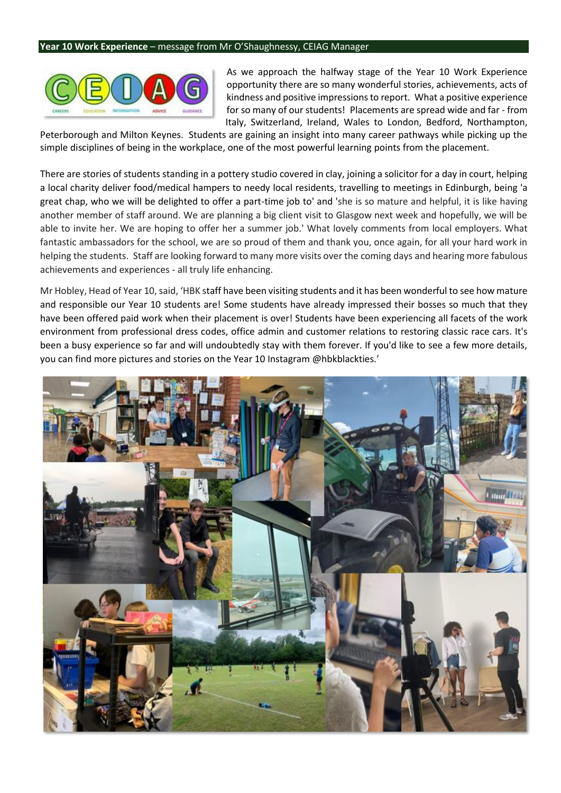#### **Year 10 Work Experience** – message from Mr O'Shaughnessy, CEIAG Manager



As we approach the halfway stage of the Year 10 Work Experience opportunity there are so many wonderful stories, achievements, acts of kindness and positive impressions to report. What a positive experience for so many of our students! Placements are spread wide and far - from Italy, Switzerland, Ireland, Wales to London, Bedford, Northampton,

Peterborough and Milton Keynes. Students are gaining an insight into many career pathways while picking up the simple disciplines of being in the workplace, one of the most powerful learning points from the placement.

There are stories of students standing in a pottery studio covered in clay, joining a solicitor for a day in court, helping a local charity deliver food/medical hampers to needy local residents, travelling to meetings in Edinburgh, being 'a great chap, who we will be delighted to offer a part-time job to' and 'she is so mature and helpful, it is like having another member of staff around. We are planning a big client visit to Glasgow next week and hopefully, we will be able to invite her. We are hoping to offer her a summer job.' What lovely comments from local employers. What fantastic ambassadors for the school, we are so proud of them and thank you, once again, for all your hard work in helping the students. Staff are looking forward to many more visits over the coming days and hearing more fabulous achievements and experiences - all truly life enhancing.

Mr Hobley, Head of Year 10, said, 'HBK staff have been visiting students and it has been wonderful to see how mature and responsible our Year 10 students are! Some students have already impressed their bosses so much that they have been offered paid work when their placement is over! Students have been experiencing all facets of the work environment from professional dress codes, office admin and customer relations to restoring classic race cars. It's been a busy experience so far and will undoubtedly stay with them forever. If you'd like to see a few more details, you can find more pictures and stories on the Year 10 Instagram @hbkblackties.'